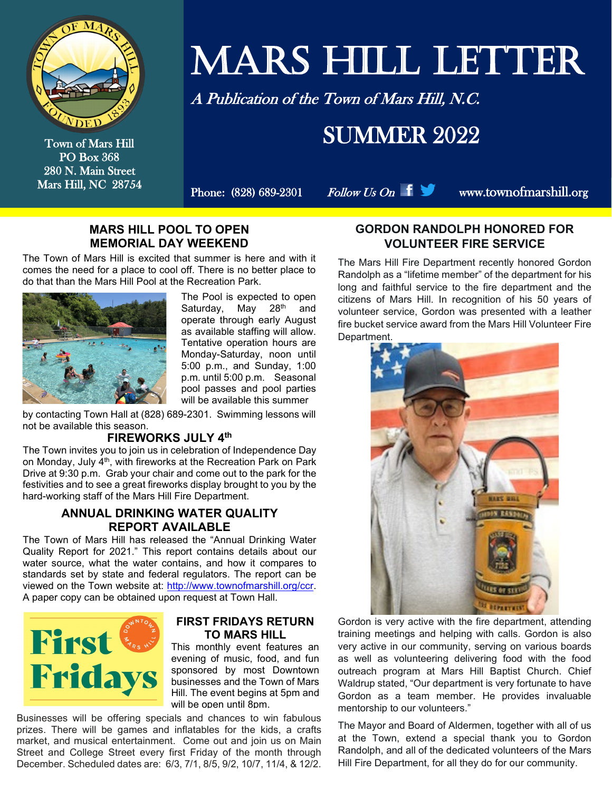

Town of Mars Hill PO Box 368 280 N. Main Street Mars Hill, NC 28754

# MARS HILL LETTER

A Publication of the Town of Mars Hill, N.C.

### SUMMER 2022

Phone:  $(828) 689-2301$  Follow Us On  $\parallel \Box$  www.townofmarshill.org

#### **MARS HILL POOL TO OPEN MEMORIAL DAY WEEKEND**

The Town of Mars Hill is excited that summer is here and with it comes the need for a place to cool off. There is no better place to do that than the Mars Hill Pool at the Recreation Park.



The Pool is expected to open Saturday, May 28<sup>th</sup> and operate through early August as available staffing will allow. Tentative operation hours are Monday-Saturday, noon until 5:00 p.m., and Sunday, 1:00 p.m. until 5:00 p.m. Seasonal pool passes and pool parties will be available this summer

by contacting Town Hall at (828) 689-2301. Swimming lessons will not be available this season.

#### **FIREWORKS JULY 4th**

The Town invites you to join us in celebration of Independence Day on Monday, July 4<sup>th</sup>, with fireworks at the Recreation Park on Park Drive at 9:30 p.m. Grab your chair and come out to the park for the festivities and to see a great fireworks display brought to you by the hard-working staff of the Mars Hill Fire Department.

#### **ANNUAL DRINKING WATER QUALITY REPORT AVAILABLE**

The Town of Mars Hill has released the "Annual Drinking Water Quality Report for 2021." This report contains details about our water source, what the water contains, and how it compares to standards set by state and federal regulators. The report can be viewed on the Town website at: [http://www.townofmarshill.org/ccr.](http://www.townofmarshill.org/ccr) A paper copy can be obtained upon request at Town Hall.



#### **FIRST FRIDAYS RETURN TO MARS HILL**

This monthly event features an evening of music, food, and fun sponsored by most Downtown businesses and the Town of Mars Hill. The event begins at 5pm and will be open until 8pm.

Businesses will be offering specials and chances to win fabulous prizes. There will be games and inflatables for the kids, a crafts market, and musical entertainment. Come out and join us on Main Street and College Street every first Friday of the month through December. Scheduled dates are: 6/3, 7/1, 8/5, 9/2, 10/7, 11/4, & 12/2.

#### **GORDON RANDOLPH HONORED FOR VOLUNTEER FIRE SERVICE**

The Mars Hill Fire Department recently honored Gordon Randolph as a "lifetime member" of the department for his long and faithful service to the fire department and the citizens of Mars Hill. In recognition of his 50 years of volunteer service, Gordon was presented with a leather fire bucket service award from the Mars Hill Volunteer Fire Department.



Gordon is very active with the fire department, attending training meetings and helping with calls. Gordon is also very active in our community, serving on various boards as well as volunteering delivering food with the food outreach program at Mars Hill Baptist Church. Chief Waldrup stated, "Our department is very fortunate to have Gordon as a team member. He provides invaluable mentorship to our volunteers."

The Mayor and Board of Aldermen, together with all of us at the Town, extend a special thank you to Gordon Randolph, and all of the dedicated volunteers of the Mars Hill Fire Department, for all they do for our community.